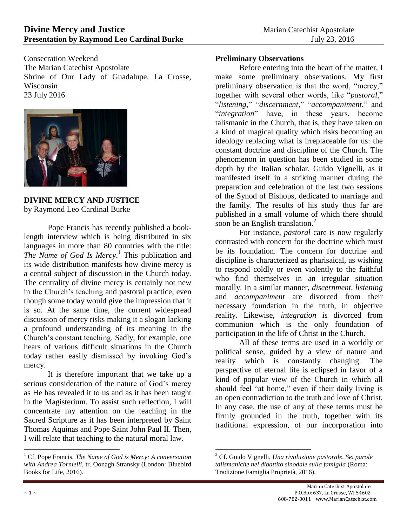Consecration Weekend The Marian Catechist Apostolate Shrine of Our Lady of Guadalupe, La Crosse, Wisconsin 23 July 2016



**DIVINE MERCY AND JUSTICE** by Raymond Leo Cardinal Burke

Pope Francis has recently published a booklength interview which is being distributed in six languages in more than 80 countries with the title: *The Name of God Is Mercy*. 1 This publication and its wide distribution manifests how divine mercy is a central subject of discussion in the Church today. The centrality of divine mercy is certainly not new in the Church's teaching and pastoral practice, even though some today would give the impression that it is so. At the same time, the current widespread discussion of mercy risks making it a slogan lacking a profound understanding of its meaning in the Church's constant teaching. Sadly, for example, one hears of various difficult situations in the Church today rather easily dismissed by invoking God's mercy.

It is therefore important that we take up a serious consideration of the nature of God's mercy as He has revealed it to us and as it has been taught in the Magisterium. To assist such reflection, I will concentrate my attention on the teaching in the Sacred Scripture as it has been interpreted by Saint Thomas Aquinas and Pope Saint John Paul II. Then, I will relate that teaching to the natural moral law.

 $\overline{a}$ 

### **Preliminary Observations**

Before entering into the heart of the matter, I make some preliminary observations. My first preliminary observation is that the word, "mercy," together with several other words, like "*pastoral*," "*listening*," "*discernment*," "*accompaniment*," and "*integration*" have, in these years, become talismanic in the Church, that is, they have taken on a kind of magical quality which risks becoming an ideology replacing what is irreplaceable for us: the constant doctrine and discipline of the Church. The phenomenon in question has been studied in some depth by the Italian scholar, Guido Vignelli, as it manifested itself in a striking manner during the preparation and celebration of the last two sessions of the Synod of Bishops, dedicated to marriage and the family. The results of his study thus far are published in a small volume of which there should soon be an English translation. $<sup>2</sup>$ </sup>

For instance, *pastoral* care is now regularly contrasted with concern for the doctrine which must be its foundation. The concern for doctrine and discipline is characterized as pharisaical, as wishing to respond coldly or even violently to the faithful who find themselves in an irregular situation morally. In a similar manner, *discernment, listening* and *accompaniment* are divorced from their necessary foundation in the truth, in objective reality. Likewise, *integration* is divorced from communion which is the only foundation of participation in the life of Christ in the Church.

All of these terms are used in a worldly or political sense, guided by a view of nature and reality which is constantly changing. The perspective of eternal life is eclipsed in favor of a kind of popular view of the Church in which all should feel "at home," even if their daily living is an open contradiction to the truth and love of Christ. In any case, the use of any of these terms must be firmly grounded in the truth, together with its traditional expression, of our incorporation into

<sup>1</sup> Cf. Pope Francis, *The Name of God is Mercy: A conversation with Andrea Tornielli*, tr. Oonagh Stransky (London: Bluebird Books for Life, 2016).

<sup>2</sup> Cf. Guido Vignelli, *Una rivoluzione pastorale. Sei parole talismaniche nel dibattito sinodale sulla famiglia* (Roma: Tradizione Famiglia Proprietà, 2016).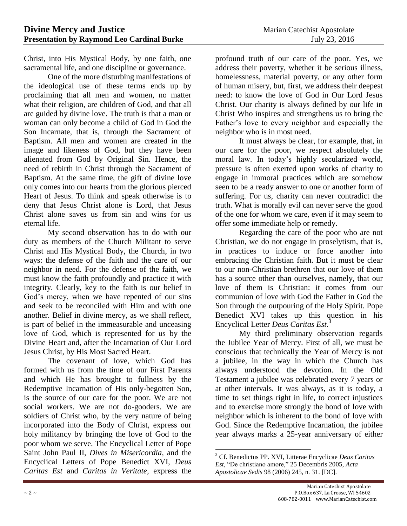Christ, into His Mystical Body, by one faith, one sacramental life, and one discipline or governance.

One of the more disturbing manifestations of the ideological use of these terms ends up by proclaiming that all men and women, no matter what their religion, are children of God, and that all are guided by divine love. The truth is that a man or woman can only become a child of God in God the Son Incarnate, that is, through the Sacrament of Baptism. All men and women are created in the image and likeness of God, but they have been alienated from God by Original Sin. Hence, the need of rebirth in Christ through the Sacrament of Baptism. At the same time, the gift of divine love only comes into our hearts from the glorious pierced Heart of Jesus. To think and speak otherwise is to deny that Jesus Christ alone is Lord, that Jesus Christ alone saves us from sin and wins for us eternal life.

My second observation has to do with our duty as members of the Church Militant to serve Christ and His Mystical Body, the Church, in two ways: the defense of the faith and the care of our neighbor in need. For the defense of the faith, we must know the faith profoundly and practice it with integrity. Clearly, key to the faith is our belief in God's mercy, when we have repented of our sins and seek to be reconciled with Him and with one another. Belief in divine mercy, as we shall reflect, is part of belief in the immeasurable and unceasing love of God, which is represented for us by the Divine Heart and, after the Incarnation of Our Lord Jesus Christ, by His Most Sacred Heart.

The covenant of love, which God has formed with us from the time of our First Parents and which He has brought to fullness by the Redemptive Incarnation of His only-begotten Son, is the source of our care for the poor. We are not social workers. We are not do-gooders. We are soldiers of Christ who, by the very nature of being incorporated into the Body of Christ, express our holy militancy by bringing the love of God to the poor whom we serve. The Encyclical Letter of Pope Saint John Paul II, *Dives in Misericordia*, and the Encyclical Letters of Pope Benedict XVI, *Deus Caritas Est* and *Caritas in Veritate*, express the

profound truth of our care of the poor. Yes, we address their poverty, whether it be serious illness, homelessness, material poverty, or any other form of human misery, but, first, we address their deepest need: to know the love of God in Our Lord Jesus Christ. Our charity is always defined by our life in Christ Who inspires and strengthens us to bring the Father's love to every neighbor and especially the neighbor who is in most need.

It must always be clear, for example, that, in our care for the poor, we respect absolutely the moral law. In today's highly secularized world, pressure is often exerted upon works of charity to engage in immoral practices which are somehow seen to be a ready answer to one or another form of suffering. For us, charity can never contradict the truth. What is morally evil can never serve the good of the one for whom we care, even if it may seem to offer some immediate help or remedy.

Regarding the care of the poor who are not Christian, we do not engage in proselytism, that is, in practices to induce or force another into embracing the Christian faith. But it must be clear to our non-Christian brethren that our love of them has a source other than ourselves, namely, that our love of them is Christian: it comes from our communion of love with God the Father in God the Son through the outpouring of the Holy Spirit. Pope Benedict XVI takes up this question in his Encyclical Letter *Deus Caritas Est*. 3

My third preliminary observation regards the Jubilee Year of Mercy. First of all, we must be conscious that technically the Year of Mercy is not a jubilee, in the way in which the Church has always understood the devotion. In the Old Testament a jubilee was celebrated every 7 years or at other intervals. It was always, as it is today, a time to set things right in life, to correct injustices and to exercise more strongly the bond of love with neighbor which is inherent to the bond of love with God. Since the Redemptive Incarnation, the jubilee year always marks a 25-year anniversary of either

 $\overline{a}$ <sup>3</sup> Cf. Benedictus PP. XVI, Litterae Encyclicae *Deus Caritas Est*, "De christiano amore," 25 Decembris 2005, *Acta Apostolicae Sedis* 98 (2006) 245, n. 31. [DC].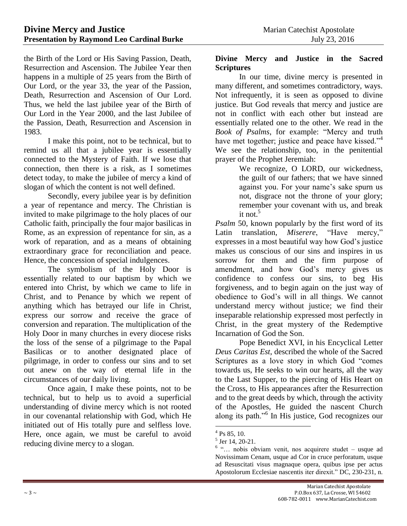the Birth of the Lord or His Saving Passion, Death, Resurrection and Ascension. The Jubilee Year then happens in a multiple of 25 years from the Birth of Our Lord, or the year 33, the year of the Passion, Death, Resurrection and Ascension of Our Lord. Thus, we held the last jubilee year of the Birth of Our Lord in the Year 2000, and the last Jubilee of the Passion, Death, Resurrection and Ascension in 1983.

I make this point, not to be technical, but to remind us all that a jubilee year is essentially connected to the Mystery of Faith. If we lose that connection, then there is a risk, as I sometimes detect today, to make the jubilee of mercy a kind of slogan of which the content is not well defined.

Secondly, every jubilee year is by definition a year of repentance and mercy. The Christian is invited to make pilgrimage to the holy places of our Catholic faith, principally the four major basilicas in Rome, as an expression of repentance for sin, as a work of reparation, and as a means of obtaining extraordinary grace for reconciliation and peace. Hence, the concession of special indulgences.

The symbolism of the Holy Door is essentially related to our baptism by which we entered into Christ, by which we came to life in Christ, and to Penance by which we repent of anything which has betrayed our life in Christ, express our sorrow and receive the grace of conversion and reparation. The multiplication of the Holy Door in many churches in every diocese risks the loss of the sense of a pilgrimage to the Papal Basilicas or to another designated place of pilgrimage, in order to confess our sins and to set out anew on the way of eternal life in the circumstances of our daily living.

Once again, I make these points, not to be technical, but to help us to avoid a superficial understanding of divine mercy which is not rooted in our covenantal relationship with God, which He initiated out of His totally pure and selfless love. Here, once again, we must be careful to avoid reducing divine mercy to a slogan.

#### **Divine Mercy and Justice in the Sacred Scriptures**

In our time, divine mercy is presented in many different, and sometimes contradictory, ways. Not infrequently, it is seen as opposed to divine justice. But God reveals that mercy and justice are not in conflict with each other but instead are essentially related one to the other. We read in the *Book of Psalms*, for example: "Mercy and truth have met together; justice and peace have kissed."<sup>4</sup> We see the relationship, too, in the penitential prayer of the Prophet Jeremiah:

We recognize, O LORD, our wickedness, the guilt of our fathers; that we have sinned against you. For your name's sake spurn us not, disgrace not the throne of your glory; remember your covenant with us, and break it not. $5$ 

*Psalm* 50, known popularly by the first word of its Latin translation, *Miserere*, "Have mercy," expresses in a most beautiful way how God's justice makes us conscious of our sins and inspires in us sorrow for them and the firm purpose of amendment, and how God's mercy gives us confidence to confess our sins, to beg His forgiveness, and to begin again on the just way of obedience to God's will in all things. We cannot understand mercy without justice; we find their inseparable relationship expressed most perfectly in Christ, in the great mystery of the Redemptive Incarnation of God the Son.

Pope Benedict XVI, in his Encyclical Letter *Deus Caritas Est*, described the whole of the Sacred Scriptures as a love story in which God "comes towards us, He seeks to win our hearts, all the way to the Last Supper, to the piercing of His Heart on the Cross, to His appearances after the Resurrection and to the great deeds by which, through the activity of the Apostles, He guided the nascent Church along its path."<sup>6</sup> In His justice, God recognizes our

 $4$  Ps 85, 10.

<sup>5</sup> Jer 14, 20-21.

<sup>6</sup> "… nobis obviam venit, nos acquirere studet – usque ad Novissimam Cenam, usque ad Cor in cruce perforatum, usque ad Resuscitati visus magnaque opera, quibus ipse per actus Apostolorum Ecclesiae nascentis iter direxit." DC, 230-231, n.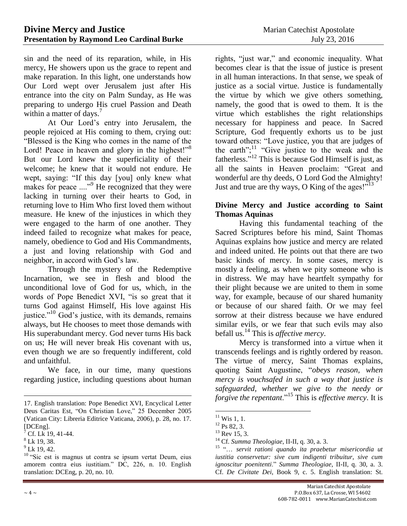sin and the need of its reparation, while, in His mercy, He showers upon us the grace to repent and make reparation. In this light, one understands how Our Lord wept over Jerusalem just after His entrance into the city on Palm Sunday, as He was preparing to undergo His cruel Passion and Death within a matter of days.<sup>7</sup>

At Our Lord's entry into Jerusalem, the people rejoiced at His coming to them, crying out: "Blessed is the King who comes in the name of the Lord! Peace in heaven and glory in the highest!"<sup>8</sup> But our Lord knew the superficiality of their welcome; he knew that it would not endure. He wept, saying: "If this day [you] only knew what makes for peace ...."<sup>9</sup> He recognized that they were lacking in turning over their hearts to God, in returning love to Him Who first loved them without measure. He knew of the injustices in which they were engaged to the harm of one another. They indeed failed to recognize what makes for peace, namely, obedience to God and His Commandments, a just and loving relationship with God and neighbor, in accord with God's law.

Through the mystery of the Redemptive Incarnation, we see in flesh and blood the unconditional love of God for us, which, in the words of Pope Benedict XVI, "is so great that it turns God against Himself, His love against His justice."<sup>10</sup> God's justice, with its demands, remains always, but He chooses to meet those demands with His superabundant mercy. God never turns His back on us; He will never break His covenant with us, even though we are so frequently indifferent, cold and unfaithful.

We face, in our time, many questions regarding justice, including questions about human

 $\overline{a}$ 

rights, "just war," and economic inequality. What becomes clear is that the issue of justice is present in all human interactions. In that sense, we speak of justice as a social virtue. Justice is fundamentally the virtue by which we give others something, namely, the good that is owed to them. It is the virtue which establishes the right relationships necessary for happiness and peace. In Sacred Scripture, God frequently exhorts us to be just toward others: "Love justice, you that are judges of the earth"; $11$  "Give justice to the weak and the fatherless."<sup>12</sup> This is because God Himself is just, as all the saints in Heaven proclaim: "Great and wonderful are thy deeds, O Lord God the Almighty! Just and true are thy ways, O King of the ages!"<sup>13</sup>

## **Divine Mercy and Justice according to Saint Thomas Aquinas**

Having this fundamental teaching of the Sacred Scriptures before his mind, Saint Thomas Aquinas explains how justice and mercy are related and indeed united. He points out that there are two basic kinds of mercy. In some cases, mercy is mostly a feeling, as when we pity someone who is in distress. We may have heartfelt sympathy for their plight because we are united to them in some way, for example, because of our shared humanity or because of our shared faith. Or we may feel sorrow at their distress because we have endured similar evils, or we fear that such evils may also befall us.<sup>14</sup> This is *affective mercy*.

Mercy is transformed into a virtue when it transcends feelings and is rightly ordered by reason. The virtue of mercy, Saint Thomas explains, quoting Saint Augustine, "*obeys reason, when mercy is vouchsafed in such a way that justice is safeguarded, whether we give to the needy or forgive the repentant*."<sup>15</sup> This is *effective mercy*. It is

<sup>17.</sup> English translation: Pope Benedict XVI, Encyclical Letter Deus Caritas Est, "On Christian Love," 25 December 2005 (Vatican City: Libreria Editrice Vaticana, 2006), p. 28, no. 17. [DCEng].

 $^7$  Cf. Lk 19, 41-44.

 $8$  Lk 19, 38.

 $^{9}$  Lk 19, 42.

<sup>&</sup>lt;sup>10</sup> "Sic est is magnus ut contra se ipsum vertat Deum, eius amorem contra eius iustitiam." DC, 226, n. 10. English translation: DCEng, p. 20, no. 10.

 $11$  Wis 1, 1.

 $^{12}$  Ps 82, 3.

 $13$  Rev 15, 3.

<sup>14</sup> Cf. *Summa Theologiae*, II-II, q. 30, a. 3.

<sup>15</sup> "… *servit rationi quando ita praebetur misericordia ut iustitia conservetur: sive cum indigenti tribuitur, sive cum ignoscitur poenitenti*." *Summa Theologiae*, II-II, q. 30, a. 3. Cf. *De Civitate Dei*, Book 9, c. 5. English translation: St.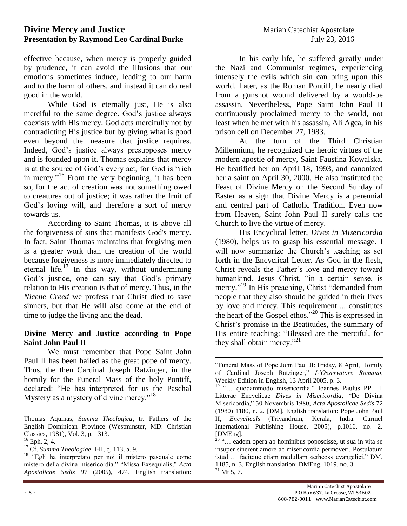effective because, when mercy is properly guided by prudence, it can avoid the illusions that our emotions sometimes induce, leading to our harm and to the harm of others, and instead it can do real good in the world.

While God is eternally just, He is also merciful to the same degree. God's justice always coexists with His mercy. God acts mercifully not by contradicting His justice but by giving what is good even beyond the measure that justice requires. Indeed, God's justice always presupposes mercy and is founded upon it. Thomas explains that mercy is at the source of God's every act, for God is "rich in mercy."<sup>16</sup> From the very beginning, it has been so, for the act of creation was not something owed to creatures out of justice; it was rather the fruit of God's loving will, and therefore a sort of mercy towards us.

According to Saint Thomas, it is above all the forgiveness of sins that manifests God's mercy. In fact, Saint Thomas maintains that forgiving men is a greater work than the creation of the world because forgiveness is more immediately directed to eternal life.<sup>17</sup> In this way, without undermining God's justice, one can say that God's primary relation to His creation is that of mercy. Thus, in the *Nicene Creed* we profess that Christ died to save sinners, but that He will also come at the end of time to judge the living and the dead.

#### **Divine Mercy and Justice according to Pope Saint John Paul II**

We must remember that Pope Saint John Paul II has been hailed as the great pope of mercy. Thus, the then Cardinal Joseph Ratzinger, in the homily for the Funeral Mass of the holy Pontiff, declared: "He has interpreted for us the Paschal Mystery as a mystery of divine mercy."<sup>18</sup>

 $\overline{a}$ 

In his early life, he suffered greatly under the Nazi and Communist regimes, experiencing intensely the evils which sin can bring upon this world. Later, as the Roman Pontiff, he nearly died from a gunshot wound delivered by a would-be assassin. Nevertheless, Pope Saint John Paul II continuously proclaimed mercy to the world, not least when he met with his assassin, Ali Agca, in his prison cell on December 27, 1983.

At the turn of the Third Christian Millennium, he recognized the heroic virtues of the modern apostle of mercy, Saint Faustina Kowalska. He beatified her on April 18, 1993, and canonized her a saint on April 30, 2000. He also instituted the Feast of Divine Mercy on the Second Sunday of Easter as a sign that Divine Mercy is a perennial and central part of Catholic Tradition. Even now from Heaven, Saint John Paul II surely calls the Church to live the virtue of mercy.

His Encyclical letter, *Dives in Misericordia*  (1980), helps us to grasp his essential message. I will now summarize the Church's teaching as set forth in the Encyclical Letter. As God in the flesh, Christ reveals the Father's love and mercy toward humankind. Jesus Christ, "in a certain sense, is mercy."<sup>19</sup> In His preaching, Christ "demanded from people that they also should be guided in their lives by love and mercy. This requirement ... constitutes the heart of the Gospel ethos."<sup>20</sup> This is expressed in Christ's promise in the Beatitudes, the summary of His entire teaching: "Blessed are the merciful, for they shall obtain mercy."<sup>21</sup>

Thomas Aquinas, *Summa Theologica*, tr. Fathers of the English Dominican Province (Westminster, MD: Christian Classics, 1981), Vol. 3, p. 1313.

 $16$  Eph. 2, 4.

<sup>17</sup> Cf. *Summa Theologiae*, I-II, q. 113, a. 9.

<sup>18</sup> "Egli ha interpretato per noi il mistero pasquale come mistero della divina misericordia." "Missa Exsequialis," *Acta Apostolicae Sedis* 97 (2005), 474. English translation:

 $\overline{a}$ "Funeral Mass of Pope John Paul II: Friday, 8 April, Homily of Cardinal Joseph Ratzinger," *L'Osservatore Romano*, Weekly Edition in English, 13 April 2005, p. 3.

<sup>&</sup>lt;sup>19</sup> "... quodammodo misericordia." Ioannes Paulus PP. II, Litterae Encyclicae *Dives in Misericordia*, "De Divina Misericordia," 30 Novembris 1980, *Acta Apostolicae Sedis* 72 (1980) 1180, n. 2. [DM]. English translation: Pope John Paul II, *Encyclicals* (Trivandrum, Kerala, India: Carmel International Publishing House, 2005), p.1016, no. 2. [DMEng].

 $20$  "... eadem opera ab hominibus poposcisse, ut sua in vita se insuper sinerent amore ac misericordia permoveri. Postulatum istud … facitque etiam medullam «etheos» evangelici." DM, 1185, n. 3. English translation: DMEng, 1019, no. 3.  $^{21}$  Mt 5, 7.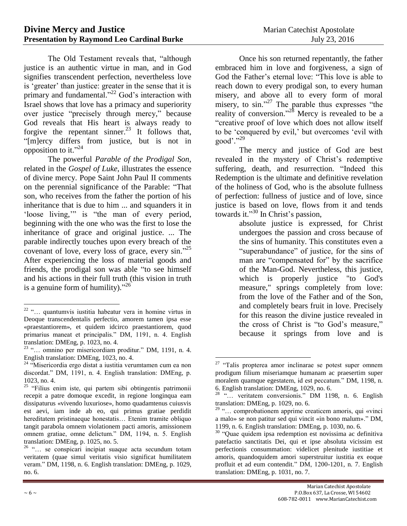The Old Testament reveals that, "although justice is an authentic virtue in man, and in God signifies transcendent perfection, nevertheless love is 'greater' than justice: greater in the sense that it is primary and fundamental."<sup>22</sup> God's interaction with Israel shows that love has a primacy and superiority over justice "precisely through mercy," because God reveals that His heart is always ready to forgive the repentant sinner.<sup>23</sup> It follows that, "[m]ercy differs from justice, but is not in opposition to it." $^{24}$ 

The powerful *Parable of the Prodigal Son*, related in the *Gospel of Luke*, illustrates the essence of divine mercy. Pope Saint John Paul II comments on the perennial significance of the Parable: "That son, who receives from the father the portion of his inheritance that is due to him ... and squanders it in 'loose living,'" is "the man of every period, beginning with the one who was the first to lose the inheritance of grace and original justice. ... The parable indirectly touches upon every breach of the covenant of love, every loss of grace, every sin."<sup>25</sup> After experiencing the loss of material goods and friends, the prodigal son was able "to see himself and his actions in their full truth (this vision in truth is a genuine form of humility)."<sup>26</sup>

Once his son returned repentantly, the father embraced him in love and forgiveness, a sign of God the Father's eternal love: "This love is able to reach down to every prodigal son, to every human misery, and above all to every form of moral misery, to sin."<sup>27</sup> The parable thus expresses "the reality of conversion."<sup>28</sup> Mercy is revealed to be a "creative proof of love which does not allow itself to be 'conquered by evil,' but overcomes 'evil with good'." 29

The mercy and justice of God are best revealed in the mystery of Christ's redemptive suffering, death, and resurrection. "Indeed this Redemption is the ultimate and definitive revelation of the holiness of God, who is the absolute fullness of perfection: fullness of justice and of love, since justice is based on love, flows from it and tends towards it." <sup>30</sup> In Christ's passion,

absolute justice is expressed, for Christ undergoes the passion and cross because of the sins of humanity. This constitutes even a "superabundance" of justice, for the sins of man are "compensated for" by the sacrifice of the Man-God. Nevertheless, this justice, which is properly justice "to God's measure," springs completely from love: from the love of the Father and of the Son, and completely bears fruit in love. Precisely for this reason the divine justice revealed in the cross of Christ is "to God's measure," because it springs from love and is

 $\overline{a}$  $22$  "... quantumvis iustitia habeatur vera in homine virtus in Deoque transcendentalis perfectio, amorem tamen ipsa esse «praestantiorem», et quidem idcirco praestantiorem, quod primarius maneat et principalis." DM, 1191, n. 4. English translation: DMEng, p. 1023, no. 4.

 $23$  "... omnino per misericordiam proditur." DM, 1191, n. 4. English translation: DMEng, 1023, no. 4.

<sup>&</sup>lt;sup>24</sup> "Misericordia ergo distat a iustitia verumtamen cum ea non discordat." DM, 1191, n. 4. English translation: DMEng, p. 1023, no. 4.

<sup>&</sup>lt;sup>25</sup> "Filius enim iste, qui partem sibi obtingentis patrimonii recepit a patre domoque excedit, in regione longinqua eam dissipaturus «vivendo luxuriose», homo quadamtenus cuiusvis est aevi, iam inde ab eo, qui primus gratiae perdidit hereditatem pristinaeque honestatis… Etenim tramite obliquo tangit parabola omnem violationem pacti amoris, amissionem omnem gratiae, omne delictum." DM, 1194, n. 5. English translation: DMEng, p. 1025, no. 5.

<sup>&</sup>lt;sup>26</sup> "... se conspicari incipiat suaque acta secundum totam veritatem (quae simul veritatis visio significat humilitatem veram." DM, 1198, n. 6. English translation: DMEng, p. 1029, no. 6.

 $27$  "Talis propterea amor inclinarae se potest super omnem prodigum filium miseriamque humanam ac praesertim super moralem quamque egestatem, id est peccatum." DM, 1198, n. 6. English translation: DMEng, 1029, no. 6.

<sup>&</sup>lt;sup>28</sup> "... veritatem conversionis." DM 1198, n. 6. English translation: DMEng, p. 1029, no. 6.

<sup>29</sup> "… comprobationem apprime creaticem amoris, qui «vinci a malo» se non patitur sed qui vincit «in bono malum»." DM, 1199, n. 6. English translation: DMEng, p. 1030, no. 6.

<sup>&</sup>lt;sup>30</sup> "Quae quidem ipsa redemption est novissima ac definitiva patefactio sanctitatis Dei, qui et ipse absoluta vicissim est perfectionis consummation: videlicet plenitude iustitiae et amoris, quandoquidem amori superstruitur iustitia ex eoque profluit et ad eum contendit." DM, 1200-1201, n. 7. English translation: DMEng, p. 1031, no. 7.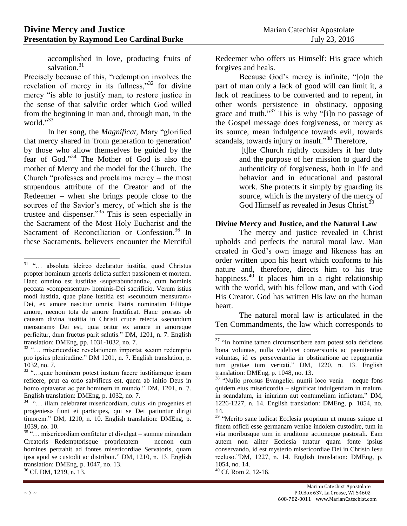accomplished in love, producing fruits of salvation.<sup>31</sup>

Precisely because of this, "redemption involves the revelation of mercy in its fullness,"<sup>32</sup> for divine mercy "is able to justify man, to restore justice in the sense of that salvific order which God willed from the beginning in man and, through man, in the world." 33

In her song, the *Magnificat*, Mary "glorified that mercy shared in 'from generation to generation' by those who allow themselves be guided by the fear of God." <sup>34</sup> The Mother of God is also the mother of Mercy and the model for the Church. The Church "professes and proclaims mercy – the most stupendous attribute of the Creator and of the Redeemer – when she brings people close to the sources of the Savior's mercy, of which she is the trustee and dispenser."<sup>35</sup> This is seen especially in the Sacrament of the Most Holy Eucharist and the Sacrament of Reconciliation or Confession.<sup>36</sup> In these Sacraments, believers encounter the Merciful

Redeemer who offers us Himself: His grace which forgives and heals.

Because God's mercy is infinite, "[o]n the part of man only a lack of good will can limit it, a lack of readiness to be converted and to repent, in other words persistence in obstinacy, opposing grace and truth." <sup>37</sup> This is why "[i]n no passage of the Gospel message does forgiveness, or mercy as its source, mean indulgence towards evil, towards scandals, towards injury or insult."<sup>38</sup> Therefore,

[t]he Church rightly considers it her duty and the purpose of her mission to guard the authenticity of forgiveness, both in life and behavior and in educational and pastoral work. She protects it simply by guarding its source, which is the mystery of the mercy of God Himself as revealed in Jesus Christ.<sup>39</sup>

# **Divine Mercy and Justice, and the Natural Law**

The mercy and justice revealed in Christ upholds and perfects the natural moral law. Man created in God's own image and likeness has an order written upon his heart which conforms to his nature and, therefore, directs him to his true happiness. $40$  It places him in a right relationship with the world, with his fellow man, and with God His Creator. God has written His law on the human heart.

The natural moral law is articulated in the Ten Commandments, the law which corresponds to

 $\overline{a}$ <sup>31</sup> "... absoluta idcirco declaratur iustitia, quod Christus propter hominum generis delicta suffert passionem et mortem. Haec omnino est iustitiae «superabundantia», cum hominis peccata «compensentur» hominis-Dei sacrificio. Verum istius modi iustitia, quae plane iustitia est «secundum mensuram» Dei, ex amore nascitur omnis; Patris nominatim Filiique amore, necnon tota de amore fructificat. Hanc prorsus ob causam divina iustitia in Christi cruce retecta «secundum mensuram» Dei est, quia oritur ex amore in amoreque perficitur, dum fructus parit salutis." DM, 1201, n. 7. English translation: DMEng, pp. 1031-1032, no. 7.

<sup>32</sup> "… misericordiae revelationem importat secum redemptio pro ipsius plenitudine." DM 1201, n. 7. English translation, p. 1032, no. 7.

<sup>33</sup> "…quae hominem potest iustum facere iustitiamque ipsam reficere, prut ea ordo salvificus est, quem ab initio Deus in homo optaverat ac per hominem in mundo." DM, 1201, n. 7. English translation: DMEng, p. 1032, no. 7.

<sup>&</sup>lt;sup>34</sup> "... illam celebraret misericordiam, cuius «in progenies et progenies» fiunt ei participes, qui se Dei patiuntur dirigi timorem." DM, 1210, n. 10. English translation: DMEng, p. 1039, no. 10.

 $35$  "... misericordiam confitetur et divulgat – summe mirandam Creatoris Redemptorisque proprietatem – necnon cum homines pertrahit ad fontes misericordiae Servatoris, quam ipsa apud se custodit ac distribuit." DM, 1210, n. 13. English translation: DMEng, p. 1047, no. 13.

<sup>36</sup> Cf. DM, 1219, n. 13.

 $37$  "In homine tamen circumscribere eam potest sola deficiens bona voluntas, nulla videlicet conversionis ac paenitentiae voluntas, id es perseverantia in obstinatione ac repugnantia tum gratiae tum veritati." DM, 1220, n. 13. English translation: DMEng, p. 1048, no. 13.

<sup>38</sup> "Nullo prorsus Evangelici nuntii loco venia – neque fons quidem eius misericordia – significat indulgentiam in malum, in scandalum, in iniuriam aut contumeliam inflictam." DM, 1226-1227, n. 14. English translation: DMEng, p. 1054, no. 14.

<sup>&</sup>lt;sup>39</sup> "Merito sane iudicat Ecclesia proprium ut munus suique ut finem officii esse germanam veniae indolem custodire, tum in vita moribusque tum in eruditone actioneque pastorali. Eam autem non aliter Ecclesia tutatur quam fonte ipsius conservando, id est mysterio misericordiae Dei in Christo Iesu recluso."DM, 1227, n. 14. English translation: DMEng, p. 1054, no. 14.

<sup>40</sup> Cf. Rom 2, 12-16.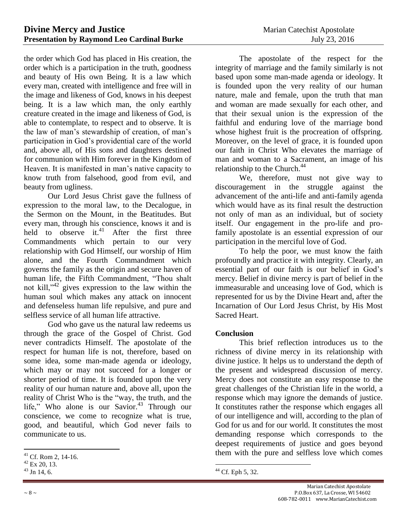the order which God has placed in His creation, the order which is a participation in the truth, goodness and beauty of His own Being. It is a law which every man, created with intelligence and free will in the image and likeness of God, knows in his deepest being. It is a law which man, the only earthly creature created in the image and likeness of God, is able to contemplate, to respect and to observe. It is the law of man's stewardship of creation, of man's participation in God's providential care of the world and, above all, of His sons and daughters destined for communion with Him forever in the Kingdom of Heaven. It is manifested in man's native capacity to know truth from falsehood, good from evil, and beauty from ugliness.

Our Lord Jesus Christ gave the fullness of expression to the moral law, to the Decalogue, in the Sermon on the Mount, in the Beatitudes. But every man, through his conscience, knows it and is held to observe it. $^{41}$  After the first three Commandments which pertain to our very relationship with God Himself, our worship of Him alone, and the Fourth Commandment which governs the family as the origin and secure haven of human life, the Fifth Commandment, "Thou shalt not kill," $42$  gives expression to the law within the human soul which makes any attack on innocent and defenseless human life repulsive, and pure and selfless service of all human life attractive.

God who gave us the natural law redeems us through the grace of the Gospel of Christ. God never contradicts Himself. The apostolate of the respect for human life is not, therefore, based on some idea, some man-made agenda or ideology, which may or may not succeed for a longer or shorter period of time. It is founded upon the very reality of our human nature and, above all, upon the reality of Christ Who is the "way, the truth, and the life," Who alone is our Savior.<sup>43</sup> Through our conscience, we come to recognize what is true, good, and beautiful, which God never fails to communicate to us.

 $\overline{a}$ 

The apostolate of the respect for the integrity of marriage and the family similarly is not based upon some man-made agenda or ideology. It is founded upon the very reality of our human nature, male and female, upon the truth that man and woman are made sexually for each other, and that their sexual union is the expression of the faithful and enduring love of the marriage bond whose highest fruit is the procreation of offspring. Moreover, on the level of grace, it is founded upon our faith in Christ Who elevates the marriage of man and woman to a Sacrament, an image of his relationship to the Church.<sup>44</sup>

We, therefore, must not give way to discouragement in the struggle against the advancement of the anti-life and anti-family agenda which would have as its final result the destruction not only of man as an individual, but of society itself. Our engagement in the pro-life and profamily apostolate is an essential expression of our participation in the merciful love of God.

To help the poor, we must know the faith profoundly and practice it with integrity. Clearly, an essential part of our faith is our belief in God's mercy. Belief in divine mercy is part of belief in the immeasurable and unceasing love of God, which is represented for us by the Divine Heart and, after the Incarnation of Our Lord Jesus Christ, by His Most Sacred Heart.

## **Conclusion**

This brief reflection introduces us to the richness of divine mercy in its relationship with divine justice. It helps us to understand the depth of the present and widespread discussion of mercy. Mercy does not constitute an easy response to the great challenges of the Christian life in the world, a response which may ignore the demands of justice. It constitutes rather the response which engages all of our intelligence and will, according to the plan of God for us and for our world. It constitutes the most demanding response which corresponds to the deepest requirements of justice and goes beyond them with the pure and selfless love which comes

 $41$  Cf. Rom 2, 14-16.

<sup>42</sup> Ex 20, 13.

 $43$  Jn 14, 6.

 $\overline{a}$  $44$  Cf. Eph 5, 32.